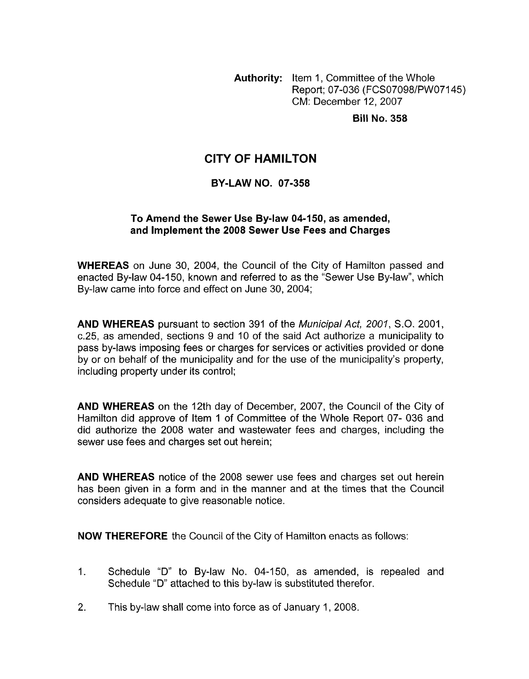**Authority:** Item 1, Committee of the Whole Report; 07-036 (FCS07098/PWO7145) CM: December 12,2007

**Bill No. 358** 

### **CITY OF HAMILTON**

#### **BY-LAW NO. 07-358**

#### **To Amend the Sewer Use By-law 04-150, as amended, and Implement the 2008 Sewer Use Fees and Charges**

**WHEREAS** on June 30, 2004, the Council of the City of Hamilton passed and enacted By-law 04-150, known and referred to as the "Sewer Use By-law", which By-law came into force and effect on June 30, 2004;

**AND WHEREAS** pursuant to section 391 of the *Municipal Act, 2001, S.O.* 2001, c.25, as amended, sections 9 and 10 of the said Act authorize a municipality to pass by-laws imposing fees or charges for services or activities provided or done by or on behalf of the municipality and for the use of the municipality's property, including property under its control;

**AND WHEREAS** on the 12th day of December, 2007, the Council of the City of Hamilton did approve of Item 1 of Committee of the Whole Report 07- 036 and did authorize the 2008 water and wastewater fees and charges, including the sewer use fees and charges set out herein;

**AND WHEREAS** notice of the 2008 sewer use fees and charges set out herein has been given in a form and in the manner and at the times that the Council considers adequate to give reasonable notice.

**NOW THEREFORE** the Council of the City of Hamilton enacts as follows:

- 1. Schedule "D" to By-law No. 04-150, as amended, is repealed and Schedule "D" attached to this by-law is substituted therefor.
- 2. This by-law shall come into force as of January 1, 2008.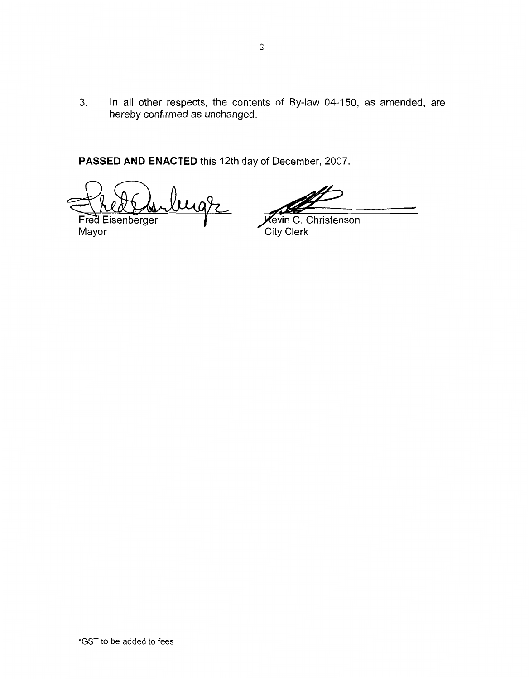**3.** In all other respects, the contents of By-law 04-150, as amended, are hereby confirmed as unchanged.

**PASSED AND ENACTED** this 12th day of December, 2007

ugr Fred Eisenberger

**Cevin C. Christenson** Mayor City Clerk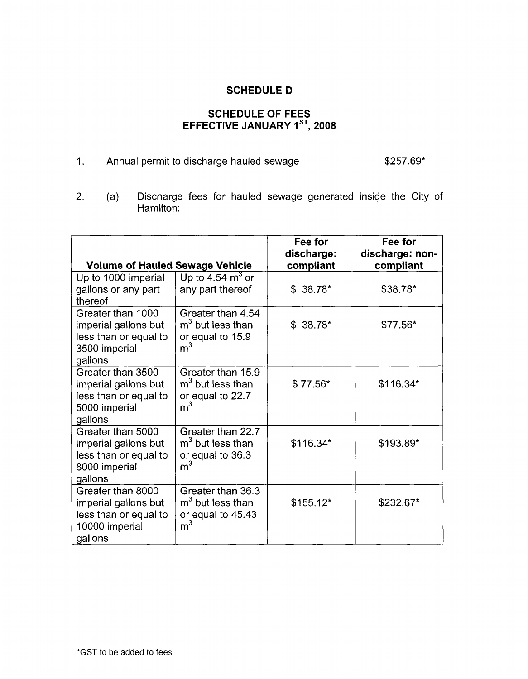### **SCHEDULE D**

# SCHEDULE OF FEES<br>EFFECTIVE JANUARY 1<sup>ST</sup>, 2008

1. Annual permit to discharge hauled sewage  $$257.69*$ 

2. (a) Discharge fees for hauled sewage generated inside the City of Hamilton:

| <b>Volume of Hauled Sewage Vehicle</b>                                                          |                                                                                | Fee for<br>discharge:<br>compliant | Fee for<br>discharge: non-<br>compliant |
|-------------------------------------------------------------------------------------------------|--------------------------------------------------------------------------------|------------------------------------|-----------------------------------------|
| Up to 1000 imperial                                                                             | Up to 4.54 $\mathrm{m}^3$ or                                                   |                                    |                                         |
| gallons or any part<br>thereof                                                                  | any part thereof                                                               | $$38.78*$                          | \$38.78*                                |
| Greater than 1000<br>imperial gallons but<br>less than or equal to<br>3500 imperial<br>gallons  | Greater than 4.54<br>$m3$ but less than<br>or equal to 15.9<br>m <sup>3</sup>  | $$38.78*$                          | $$77.56*$                               |
| Greater than 3500<br>imperial gallons but<br>less than or equal to<br>5000 imperial<br>gallons  | Greater than 15.9<br>$m3$ but less than<br>or equal to 22.7<br>m <sup>3</sup>  | $$77.56*$                          | $$116.34*$                              |
| Greater than 5000<br>imperial gallons but<br>less than or equal to<br>8000 imperial<br>gallons  | Greater than 22.7<br>$m3$ but less than<br>or equal to 36.3<br>m <sup>3</sup>  | $$116.34*$                         | \$193.89*                               |
| Greater than 8000<br>imperial gallons but<br>less than or equal to<br>10000 imperial<br>gallons | Greater than 36.3<br>$m3$ but less than<br>or equal to 45.43<br>m <sup>3</sup> | $$155.12*$                         | \$232.67*                               |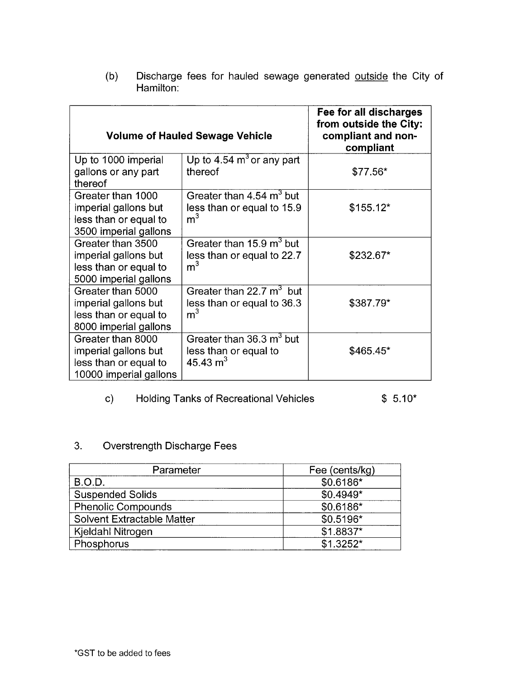| <b>Volume of Hauled Sewage Vehicle</b>                                                       |                                                                                      | Fee for all discharges<br>from outside the City:<br>compliant and non-<br>compliant |
|----------------------------------------------------------------------------------------------|--------------------------------------------------------------------------------------|-------------------------------------------------------------------------------------|
| Up to 1000 imperial<br>gallons or any part<br>thereof                                        | Up to 4.54 $m3$ or any part<br>thereof                                               | $$77.56*$                                                                           |
| Greater than 1000<br>imperial gallons but<br>less than or equal to<br>3500 imperial gallons  | Greater than 4.54 m <sup>3</sup> but<br>less than or equal to 15.9<br>m <sup>3</sup> | $$155.12*$                                                                          |
| Greater than 3500<br>imperial gallons but<br>less than or equal to<br>5000 imperial gallons  | Greater than 15.9 m <sup>3</sup> but<br>less than or equal to 22.7<br>m <sup>3</sup> | \$232.67*                                                                           |
| Greater than 5000<br>imperial gallons but<br>less than or equal to<br>8000 imperial gallons  | Greater than 22.7 m <sup>3</sup> but<br>less than or equal to 36.3<br>m <sup>3</sup> | \$387.79*                                                                           |
| Greater than 8000<br>imperial gallons but<br>less than or equal to<br>10000 imperial gallons | Greater than 36.3 m <sup>3</sup> but<br>less than or equal to<br>45.43 $m3$          | $$465.45*$                                                                          |

(b) Discharge fees for hauled sewage generated outside the City of Hamilton:

# c) Holding Tanks of Recreational Vehicles \$ 5.10\*

## 3. Overstrength Discharge Fees

| Parameter                  | Fee (cents/kg) |  |
|----------------------------|----------------|--|
| <b>B.O.D.</b>              | $$0.6186*$     |  |
| <b>Suspended Solids</b>    | $$0.4949*$     |  |
| <b>Phenolic Compounds</b>  | $$0.6186*$     |  |
| Solvent Extractable Matter | $$0.5196*$     |  |
| Kjeldahl Nitrogen          | \$1.8837*      |  |
| Phosphorus                 | $$1.3252*$     |  |